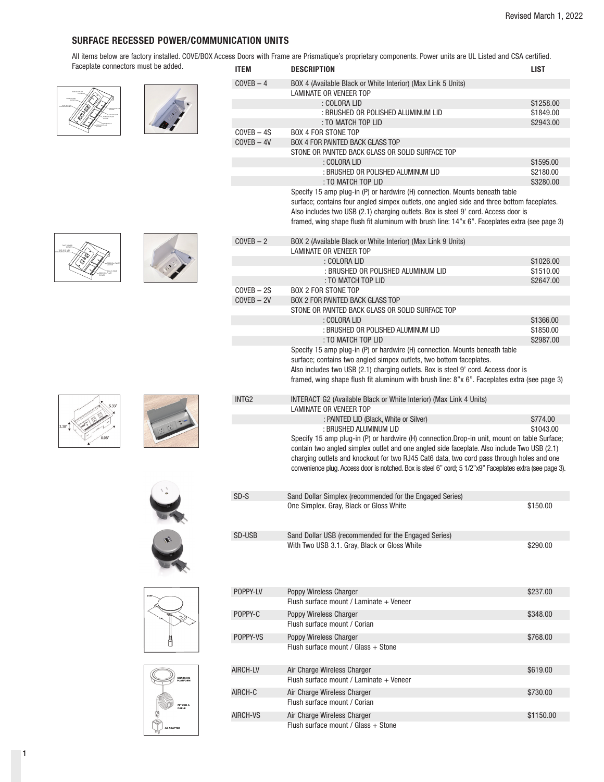## **SURFACE RECESSED POWER/COMMUNICATION UNITS**

All items below are factory installed. COVE/BOX Access Doors with Frame are Prismatique's proprietary components. Power units are UL Listed and CSA certified. Faceplate connectors must be added.





|                   | coo Duuro With France are Frionialique o proprietary componento. Fower unito are of floted and COA certificul                                                                                                                                                                                                                                                                                        |                        |
|-------------------|------------------------------------------------------------------------------------------------------------------------------------------------------------------------------------------------------------------------------------------------------------------------------------------------------------------------------------------------------------------------------------------------------|------------------------|
| ITEM              | <b>DESCRIPTION</b>                                                                                                                                                                                                                                                                                                                                                                                   | LIST                   |
| $CoyEB - 4$       | BOX 4 (Available Black or White Interior) (Max Link 5 Units)                                                                                                                                                                                                                                                                                                                                         |                        |
|                   | <b>LAMINATE OR VENEER TOP</b>                                                                                                                                                                                                                                                                                                                                                                        |                        |
|                   | : COLORA LID<br>: BRUSHED OR POLISHED ALUMINUM LID                                                                                                                                                                                                                                                                                                                                                   | \$1258.00              |
|                   | : TO MATCH TOP LID                                                                                                                                                                                                                                                                                                                                                                                   | \$1849.00<br>\$2943.00 |
| $CoveB - 4S$      | <b>BOX 4 FOR STONE TOP</b>                                                                                                                                                                                                                                                                                                                                                                           |                        |
| $CoyEB - 4V$      | <b>BOX 4 FOR PAINTED BACK GLASS TOP</b>                                                                                                                                                                                                                                                                                                                                                              |                        |
|                   | STONE OR PAINTED BACK GLASS OR SOLID SURFACE TOP                                                                                                                                                                                                                                                                                                                                                     |                        |
|                   | : COLORA LID                                                                                                                                                                                                                                                                                                                                                                                         | \$1595.00              |
|                   | : BRUSHED OR POLISHED ALUMINUM LID                                                                                                                                                                                                                                                                                                                                                                   | \$2180.00              |
|                   | : TO MATCH TOP LID                                                                                                                                                                                                                                                                                                                                                                                   | \$3280.00              |
|                   | Specify 15 amp plug-in (P) or hardwire (H) connection. Mounts beneath table<br>surface; contains four angled simpex outlets, one angled side and three bottom faceplates.<br>Also includes two USB (2.1) charging outlets. Box is steel 9' cord. Access door is<br>framed, wing shape flush fit aluminum with brush line: 14"x 6". Faceplates extra (see page 3)                                     |                        |
| $CoveB - 2$       | BOX 2 (Available Black or White Interior) (Max Link 9 Units)<br>LAMINATE OR VENEER TOP                                                                                                                                                                                                                                                                                                               |                        |
|                   | : COLORA LID                                                                                                                                                                                                                                                                                                                                                                                         | \$1026.00              |
|                   | : BRUSHED OR POLISHED ALUMINUM LID                                                                                                                                                                                                                                                                                                                                                                   | \$1510.00              |
|                   | : TO MATCH TOP LID                                                                                                                                                                                                                                                                                                                                                                                   | \$2647.00              |
| $CoveB - 2S$      | <b>BOX 2 FOR STONE TOP</b>                                                                                                                                                                                                                                                                                                                                                                           |                        |
| $CoveB - 2V$      | <b>BOX 2 FOR PAINTED BACK GLASS TOP</b>                                                                                                                                                                                                                                                                                                                                                              |                        |
|                   | STONE OR PAINTED BACK GLASS OR SOLID SURFACE TOP                                                                                                                                                                                                                                                                                                                                                     |                        |
|                   | : COLORA LID                                                                                                                                                                                                                                                                                                                                                                                         | \$1366.00              |
|                   | : BRUSHED OR POLISHED ALUMINUM LID                                                                                                                                                                                                                                                                                                                                                                   | \$1850.00              |
|                   | : TO MATCH TOP LID<br>Specify 15 amp plug-in (P) or hardwire (H) connection. Mounts beneath table                                                                                                                                                                                                                                                                                                    | \$2987.00              |
|                   | surface; contains two angled simpex outlets, two bottom faceplates.<br>Also includes two USB (2.1) charging outlets. Box is steel 9' cord. Access door is<br>framed, wing shape flush fit aluminum with brush line: 8"x 6". Faceplates extra (see page 3)                                                                                                                                            |                        |
| INTG <sub>2</sub> | INTERACT G2 (Available Black or White Interior) (Max Link 4 Units)                                                                                                                                                                                                                                                                                                                                   |                        |
|                   | <b>LAMINATE OR VENEER TOP</b>                                                                                                                                                                                                                                                                                                                                                                        |                        |
|                   | : PAINTED LID (Black, White or Silver)<br>: BRUSHED ALUMINUM LID                                                                                                                                                                                                                                                                                                                                     | \$774.00<br>\$1043.00  |
|                   | Specify 15 amp plug-in (P) or hardwire (H) connection. Drop-in unit, mount on table Surface;<br>contain two angled simplex outlet and one angled side faceplate. Also include Two USB (2.1)<br>charging outlets and knockout for two RJ45 Cat6 data, two cord pass through holes and one<br>convenience plug. Access door is notched. Box is steel 6" cord; 5 1/2"x9" Faceplates extra (see page 3). |                        |
| SD-S              | Sand Dollar Simplex (recommended for the Engaged Series)                                                                                                                                                                                                                                                                                                                                             |                        |
|                   | One Simplex. Gray, Black or Gloss White                                                                                                                                                                                                                                                                                                                                                              | \$150.00               |
|                   |                                                                                                                                                                                                                                                                                                                                                                                                      |                        |
| SD-USB            | Sand Dollar USB (recommended for the Engaged Series)                                                                                                                                                                                                                                                                                                                                                 |                        |
|                   | With Two USB 3.1. Gray, Black or Gloss White                                                                                                                                                                                                                                                                                                                                                         | \$290.00               |
| POPPY-LV          | Poppy Wireless Charger                                                                                                                                                                                                                                                                                                                                                                               | \$237.00               |
|                   | Flush surface mount / Laminate + Veneer                                                                                                                                                                                                                                                                                                                                                              |                        |
| POPPY-C           | Poppy Wireless Charger                                                                                                                                                                                                                                                                                                                                                                               | \$348.00               |
|                   | Flush surface mount / Corian                                                                                                                                                                                                                                                                                                                                                                         |                        |
| POPPY-VS          | Poppy Wireless Charger                                                                                                                                                                                                                                                                                                                                                                               | \$768.00               |
|                   | Flush surface mount / Glass + Stone                                                                                                                                                                                                                                                                                                                                                                  |                        |
|                   |                                                                                                                                                                                                                                                                                                                                                                                                      |                        |
| AIRCH-LV          | Air Charge Wireless Charger<br>Flush surface mount / Laminate + Veneer                                                                                                                                                                                                                                                                                                                               | \$619.00               |
| AIRCH-C           | Air Charge Wireless Charger                                                                                                                                                                                                                                                                                                                                                                          | \$730.00               |
|                   | Flush surface mount / Corian                                                                                                                                                                                                                                                                                                                                                                         |                        |
|                   |                                                                                                                                                                                                                                                                                                                                                                                                      |                        |
| AIRCH-VS          | Air Charge Wireless Charger<br>Flush surface mount / Glass + Stone                                                                                                                                                                                                                                                                                                                                   | \$1150.00              |
|                   |                                                                                                                                                                                                                                                                                                                                                                                                      |                        |













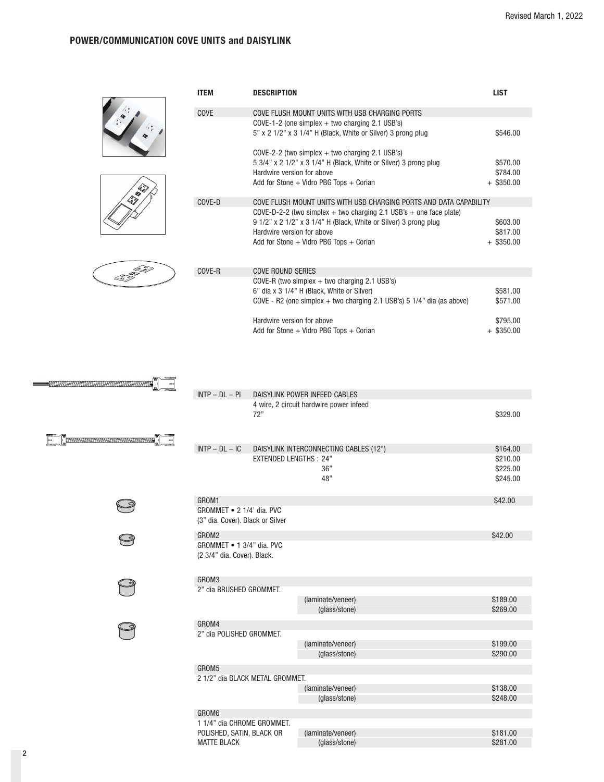## **POWER/COMMUNICATION COVE UNITS and DAISYLINK**

|  | <b>ITEM</b>                                                            | <b>DESCRIPTION</b>                                                                                                                                                                                                                                                                        | <b>LIST</b>                          |  |  |
|--|------------------------------------------------------------------------|-------------------------------------------------------------------------------------------------------------------------------------------------------------------------------------------------------------------------------------------------------------------------------------------|--------------------------------------|--|--|
|  | COVE                                                                   | COVE FLUSH MOUNT UNITS WITH USB CHARGING PORTS<br>$Cove-1-2$ (one simplex + two charging 2.1 USB's)<br>5" x 2 1/2" x 3 1/4" H (Black, White or Silver) 3 prong plug                                                                                                                       | \$546.00                             |  |  |
|  |                                                                        | $Cove-2-2$ (two simplex $+$ two charging 2.1 USB's)<br>5 3/4" x 2 1/2" x 3 1/4" H (Black, White or Silver) 3 prong plug<br>Hardwire version for above<br>Add for Stone $+$ Vidro PBG Tops $+$ Corian                                                                                      | \$570.00<br>\$784.00<br>$+$ \$350.00 |  |  |
|  | COVE-D                                                                 | COVE FLUSH MOUNT UNITS WITH USB CHARGING PORTS AND DATA CAPABILITY<br>COVE-D-2-2 (two simplex + two charging 2.1 USB's + one face plate)<br>9 1/2" x 2 1/2" x 3 1/4" H (Black, White or Silver) 3 prong plug<br>Hardwire version for above<br>Add for Stone $+$ Vidro PBG Tops $+$ Corian | \$603.00<br>\$817.00<br>$+$ \$350.00 |  |  |
|  | COVE-R                                                                 | <b>COVE ROUND SERIES</b><br>COVE-R (two simplex $+$ two charging 2.1 USB's)<br>6" dia x 3 1/4" H (Black, White or Silver)<br>COVE - R2 (one simplex + two charging 2.1 USB's) $5 \frac{1}{4}$ " dia (as above)                                                                            | \$581.00<br>\$571.00                 |  |  |
|  |                                                                        | Hardwire version for above<br>Add for Stone + Vidro PBG Tops + Corian                                                                                                                                                                                                                     | \$795.00<br>$+$ \$350.00             |  |  |
|  | $INTP - DL - PI$                                                       | DAISYLINK POWER INFEED CABLES                                                                                                                                                                                                                                                             |                                      |  |  |
|  |                                                                        | 4 wire, 2 circuit hardwire power infeed<br>72"                                                                                                                                                                                                                                            | \$329.00                             |  |  |
|  | $INTP - DL - IC$                                                       | DAISYLINK INTERCONNECTING CABLES (12")                                                                                                                                                                                                                                                    | \$164.00                             |  |  |
|  |                                                                        | <b>EXTENDED LENGTHS: 24"</b>                                                                                                                                                                                                                                                              | \$210.00                             |  |  |
|  |                                                                        | 36"<br>48"                                                                                                                                                                                                                                                                                | \$225.00<br>\$245.00                 |  |  |
|  | GROM1<br>GROMMET • 2 1/4' dia. PVC<br>(3" dia. Cover). Black or Silver |                                                                                                                                                                                                                                                                                           | \$42.00                              |  |  |
|  | GROM2<br>GROMMET • 1 3/4" dia. PVC<br>(2 3/4" dia. Cover). Black.      |                                                                                                                                                                                                                                                                                           | \$42.00                              |  |  |
|  | GROM3<br>2" dia BRUSHED GROMMET.                                       | (laminate/veneer)<br>(glass/stone)                                                                                                                                                                                                                                                        | \$189.00<br>\$269.00                 |  |  |
|  | GROM4<br>2" dia POLISHED GROMMET.                                      | (laminate/veneer)<br>(glass/stone)                                                                                                                                                                                                                                                        | \$199.00<br>\$290.00                 |  |  |
|  | GROM5<br>2 1/2" dia BLACK METAL GROMMET.                               |                                                                                                                                                                                                                                                                                           |                                      |  |  |
|  |                                                                        | (laminate/veneer)<br>(glass/stone)                                                                                                                                                                                                                                                        | \$138.00<br>\$248.00                 |  |  |
|  | GROM6                                                                  |                                                                                                                                                                                                                                                                                           |                                      |  |  |

1 1/4" dia CHROME GROMMET. POLISHED, SATIN, BLACK OR (laminate/veneer) \$181.00<br>MATTE BLACK (glass/stone) \$281.00 MATTE BLACK (glass/stone)